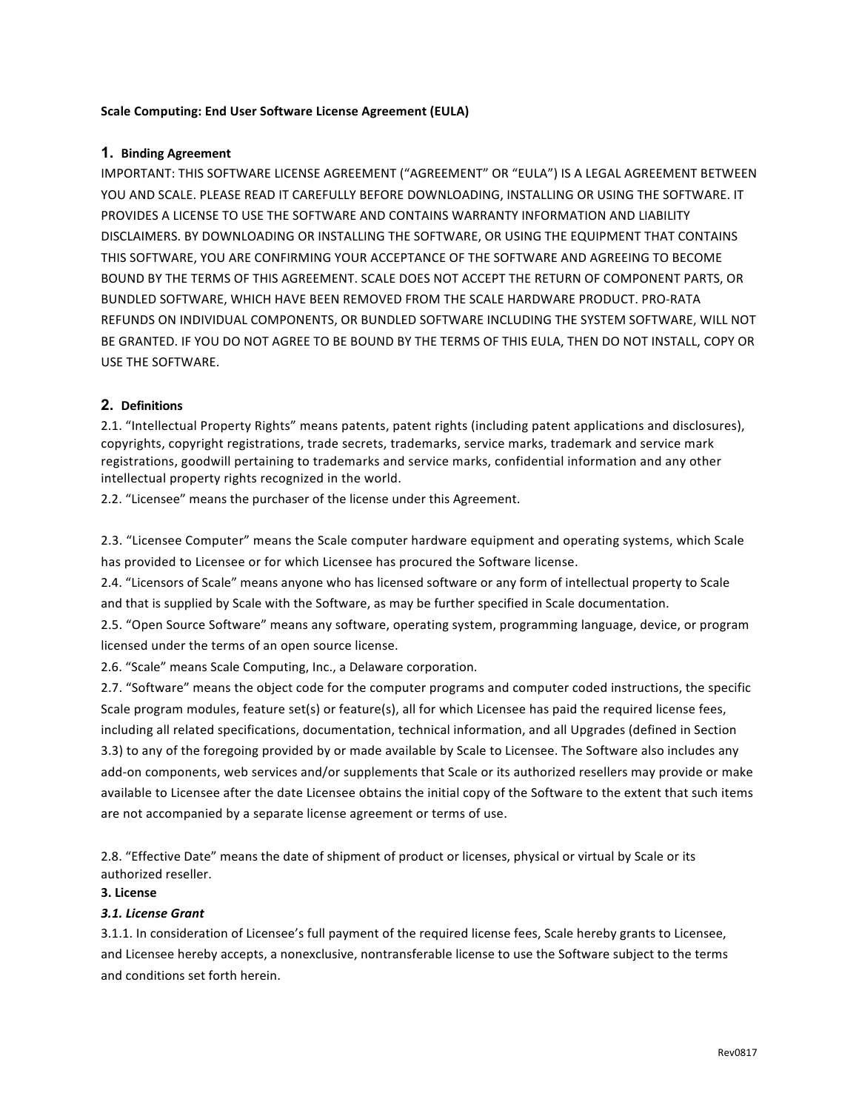## **Scale Computing: End User Software License Agreement (EULA)**

## **1. Binding Agreement**

IMPORTANT: THIS SOFTWARE LICENSE AGREEMENT ("AGREEMENT" OR "EULA") IS A LEGAL AGREEMENT BETWEEN YOU AND SCALE. PLEASE READ IT CAREFULLY BEFORE DOWNLOADING, INSTALLING OR USING THE SOFTWARE. IT PROVIDES A LICENSE TO USE THE SOFTWARE AND CONTAINS WARRANTY INFORMATION AND LIABILITY DISCLAIMERS. BY DOWNLOADING OR INSTALLING THE SOFTWARE, OR USING THE EQUIPMENT THAT CONTAINS THIS SOFTWARE, YOU ARE CONFIRMING YOUR ACCEPTANCE OF THE SOFTWARE AND AGREEING TO BECOME BOUND BY THE TERMS OF THIS AGREEMENT. SCALE DOES NOT ACCEPT THE RETURN OF COMPONENT PARTS, OR BUNDLED SOFTWARE, WHICH HAVE BEEN REMOVED FROM THE SCALE HARDWARE PRODUCT. PRO-RATA REFUNDS ON INDIVIDUAL COMPONENTS, OR BUNDLED SOFTWARE INCLUDING THE SYSTEM SOFTWARE, WILL NOT BE GRANTED. IF YOU DO NOT AGREE TO BE BOUND BY THE TERMS OF THIS EULA, THEN DO NOT INSTALL, COPY OR USE THE SOFTWARE.

# **2. Definitions**

2.1. "Intellectual Property Rights" means patents, patent rights (including patent applications and disclosures), copyrights, copyright registrations, trade secrets, trademarks, service marks, trademark and service mark registrations, goodwill pertaining to trademarks and service marks, confidential information and any other intellectual property rights recognized in the world.

2.2. "Licensee" means the purchaser of the license under this Agreement.

2.3. "Licensee Computer" means the Scale computer hardware equipment and operating systems, which Scale has provided to Licensee or for which Licensee has procured the Software license.

2.4. "Licensors of Scale" means anyone who has licensed software or any form of intellectual property to Scale and that is supplied by Scale with the Software, as may be further specified in Scale documentation.

2.5. "Open Source Software" means any software, operating system, programming language, device, or program licensed under the terms of an open source license.

2.6. "Scale" means Scale Computing, Inc., a Delaware corporation.

2.7. "Software" means the object code for the computer programs and computer coded instructions, the specific Scale program modules, feature set(s) or feature(s), all for which Licensee has paid the required license fees, including all related specifications, documentation, technical information, and all Upgrades (defined in Section 3.3) to any of the foregoing provided by or made available by Scale to Licensee. The Software also includes any add-on components, web services and/or supplements that Scale or its authorized resellers may provide or make available to Licensee after the date Licensee obtains the initial copy of the Software to the extent that such items are not accompanied by a separate license agreement or terms of use.

2.8. "Effective Date" means the date of shipment of product or licenses, physical or virtual by Scale or its authorized reseller.

# **3. License**

## *3.1. License Grant*

3.1.1. In consideration of Licensee's full payment of the required license fees, Scale hereby grants to Licensee, and Licensee hereby accepts, a nonexclusive, nontransferable license to use the Software subject to the terms and conditions set forth herein.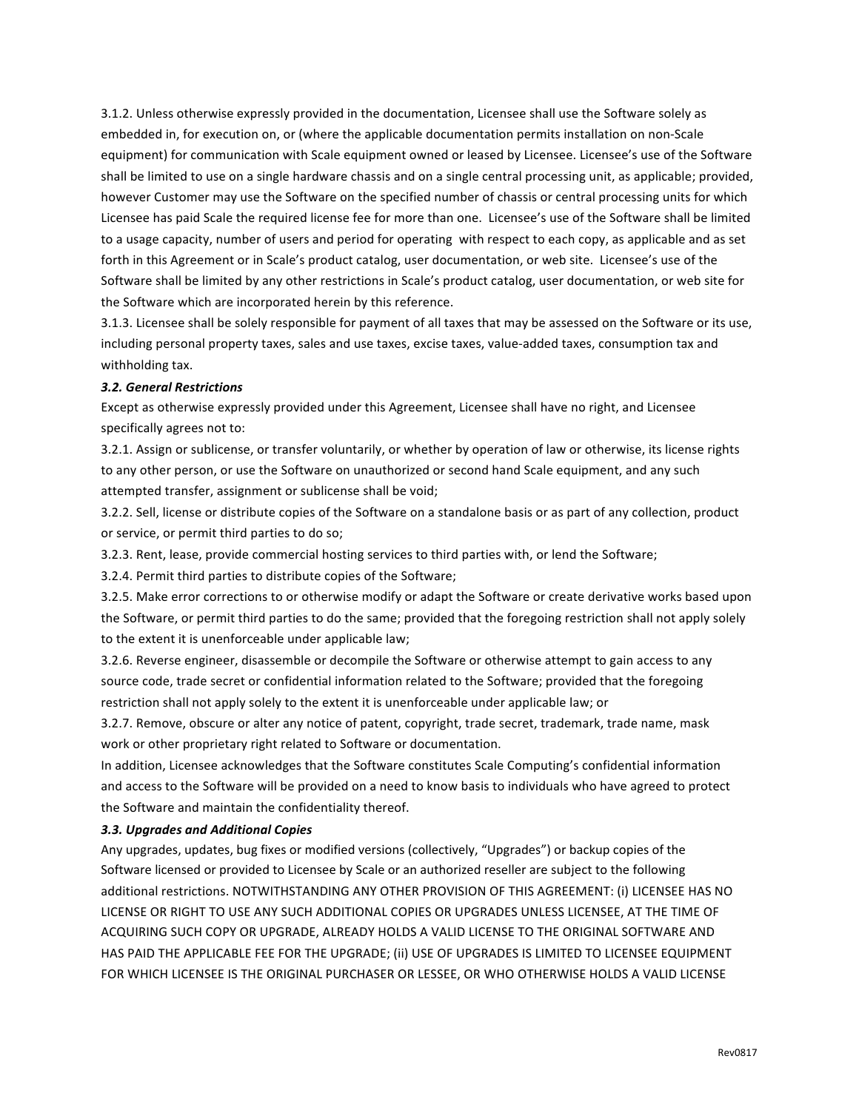3.1.2. Unless otherwise expressly provided in the documentation, Licensee shall use the Software solely as embedded in, for execution on, or (where the applicable documentation permits installation on non-Scale equipment) for communication with Scale equipment owned or leased by Licensee. Licensee's use of the Software shall be limited to use on a single hardware chassis and on a single central processing unit, as applicable; provided, however Customer may use the Software on the specified number of chassis or central processing units for which Licensee has paid Scale the required license fee for more than one. Licensee's use of the Software shall be limited to a usage capacity, number of users and period for operating with respect to each copy, as applicable and as set forth in this Agreement or in Scale's product catalog, user documentation, or web site. Licensee's use of the Software shall be limited by any other restrictions in Scale's product catalog, user documentation, or web site for the Software which are incorporated herein by this reference.

3.1.3. Licensee shall be solely responsible for payment of all taxes that may be assessed on the Software or its use, including personal property taxes, sales and use taxes, excise taxes, value-added taxes, consumption tax and withholding tax.

#### *3.2. General Restrictions*

Except as otherwise expressly provided under this Agreement, Licensee shall have no right, and Licensee specifically agrees not to:

3.2.1. Assign or sublicense, or transfer voluntarily, or whether by operation of law or otherwise, its license rights to any other person, or use the Software on unauthorized or second hand Scale equipment, and any such attempted transfer, assignment or sublicense shall be void;

3.2.2. Sell, license or distribute copies of the Software on a standalone basis or as part of any collection, product or service, or permit third parties to do so;

3.2.3. Rent, lease, provide commercial hosting services to third parties with, or lend the Software;

3.2.4. Permit third parties to distribute copies of the Software;

3.2.5. Make error corrections to or otherwise modify or adapt the Software or create derivative works based upon the Software, or permit third parties to do the same; provided that the foregoing restriction shall not apply solely to the extent it is unenforceable under applicable law;

3.2.6. Reverse engineer, disassemble or decompile the Software or otherwise attempt to gain access to any source code, trade secret or confidential information related to the Software; provided that the foregoing restriction shall not apply solely to the extent it is unenforceable under applicable law; or

3.2.7. Remove, obscure or alter any notice of patent, copyright, trade secret, trademark, trade name, mask work or other proprietary right related to Software or documentation.

In addition, Licensee acknowledges that the Software constitutes Scale Computing's confidential information and access to the Software will be provided on a need to know basis to individuals who have agreed to protect the Software and maintain the confidentiality thereof.

#### *3.3. Upgrades and Additional Copies*

Any upgrades, updates, bug fixes or modified versions (collectively, "Upgrades") or backup copies of the Software licensed or provided to Licensee by Scale or an authorized reseller are subject to the following additional restrictions. NOTWITHSTANDING ANY OTHER PROVISION OF THIS AGREEMENT: (i) LICENSEE HAS NO LICENSE OR RIGHT TO USE ANY SUCH ADDITIONAL COPIES OR UPGRADES UNLESS LICENSEE, AT THE TIME OF ACQUIRING SUCH COPY OR UPGRADE, ALREADY HOLDS A VALID LICENSE TO THE ORIGINAL SOFTWARE AND HAS PAID THE APPLICABLE FEE FOR THE UPGRADE; (ii) USE OF UPGRADES IS LIMITED TO LICENSEE EQUIPMENT FOR WHICH LICENSEE IS THE ORIGINAL PURCHASER OR LESSEE, OR WHO OTHERWISE HOLDS A VALID LICENSE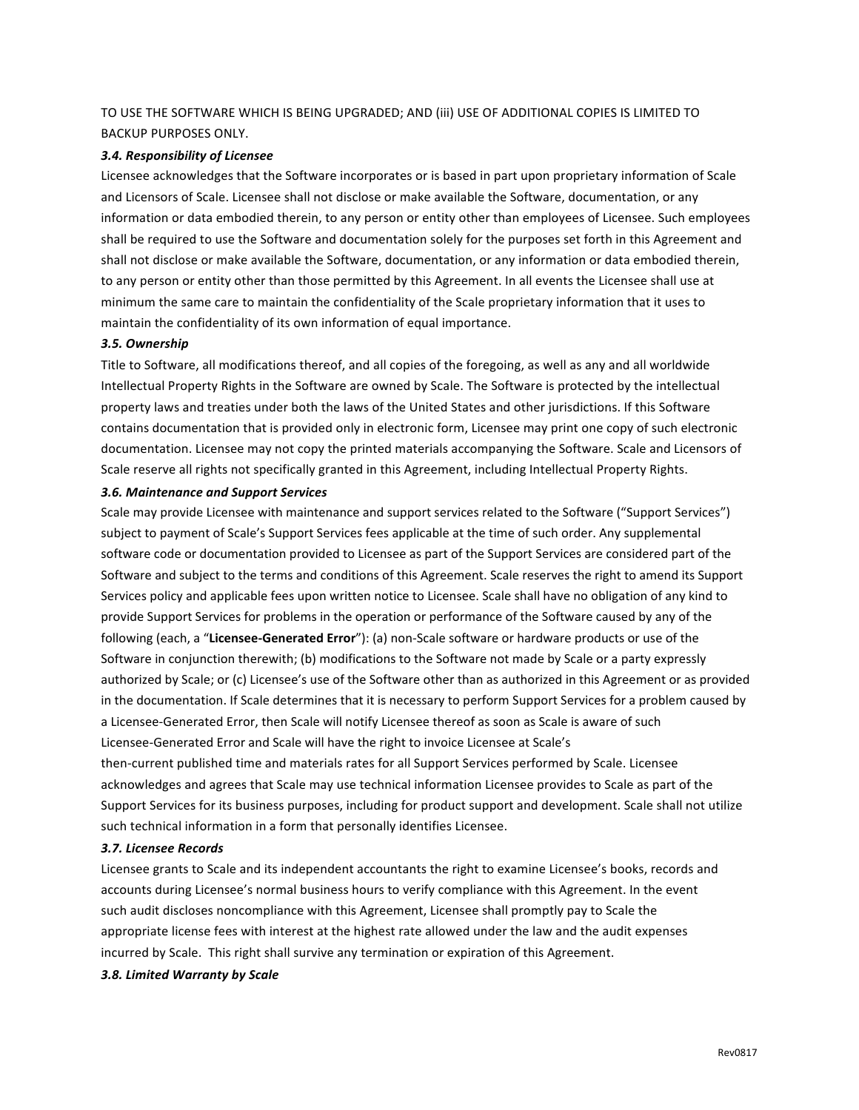# TO USE THE SOFTWARE WHICH IS BEING UPGRADED; AND (iii) USE OF ADDITIONAL COPIES IS LIMITED TO BACKUP PURPOSES ONLY.

### *3.4. Responsibility of Licensee*

Licensee acknowledges that the Software incorporates or is based in part upon proprietary information of Scale and Licensors of Scale. Licensee shall not disclose or make available the Software, documentation, or any information or data embodied therein, to any person or entity other than employees of Licensee. Such employees shall be required to use the Software and documentation solely for the purposes set forth in this Agreement and shall not disclose or make available the Software, documentation, or any information or data embodied therein, to any person or entity other than those permitted by this Agreement. In all events the Licensee shall use at minimum the same care to maintain the confidentiality of the Scale proprietary information that it uses to maintain the confidentiality of its own information of equal importance.

## *3.5. Ownership*

Title to Software, all modifications thereof, and all copies of the foregoing, as well as any and all worldwide Intellectual Property Rights in the Software are owned by Scale. The Software is protected by the intellectual property laws and treaties under both the laws of the United States and other jurisdictions. If this Software contains documentation that is provided only in electronic form, Licensee may print one copy of such electronic documentation. Licensee may not copy the printed materials accompanying the Software. Scale and Licensors of Scale reserve all rights not specifically granted in this Agreement, including Intellectual Property Rights.

#### *3.6. Maintenance and Support Services*

Scale may provide Licensee with maintenance and support services related to the Software ("Support Services") subject to payment of Scale's Support Services fees applicable at the time of such order. Any supplemental software code or documentation provided to Licensee as part of the Support Services are considered part of the Software and subject to the terms and conditions of this Agreement. Scale reserves the right to amend its Support Services policy and applicable fees upon written notice to Licensee. Scale shall have no obligation of any kind to provide Support Services for problems in the operation or performance of the Software caused by any of the following (each, a "Licensee-Generated Error"): (a) non-Scale software or hardware products or use of the Software in conjunction therewith; (b) modifications to the Software not made by Scale or a party expressly authorized by Scale; or (c) Licensee's use of the Software other than as authorized in this Agreement or as provided in the documentation. If Scale determines that it is necessary to perform Support Services for a problem caused by a Licensee-Generated Error, then Scale will notify Licensee thereof as soon as Scale is aware of such Licensee-Generated Error and Scale will have the right to invoice Licensee at Scale's then-current published time and materials rates for all Support Services performed by Scale. Licensee

acknowledges and agrees that Scale may use technical information Licensee provides to Scale as part of the Support Services for its business purposes, including for product support and development. Scale shall not utilize such technical information in a form that personally identifies Licensee.

#### *3.7. Licensee Records*

Licensee grants to Scale and its independent accountants the right to examine Licensee's books, records and accounts during Licensee's normal business hours to verify compliance with this Agreement. In the event such audit discloses noncompliance with this Agreement, Licensee shall promptly pay to Scale the appropriate license fees with interest at the highest rate allowed under the law and the audit expenses incurred by Scale. This right shall survive any termination or expiration of this Agreement.

## *3.8. Limited Warranty by Scale*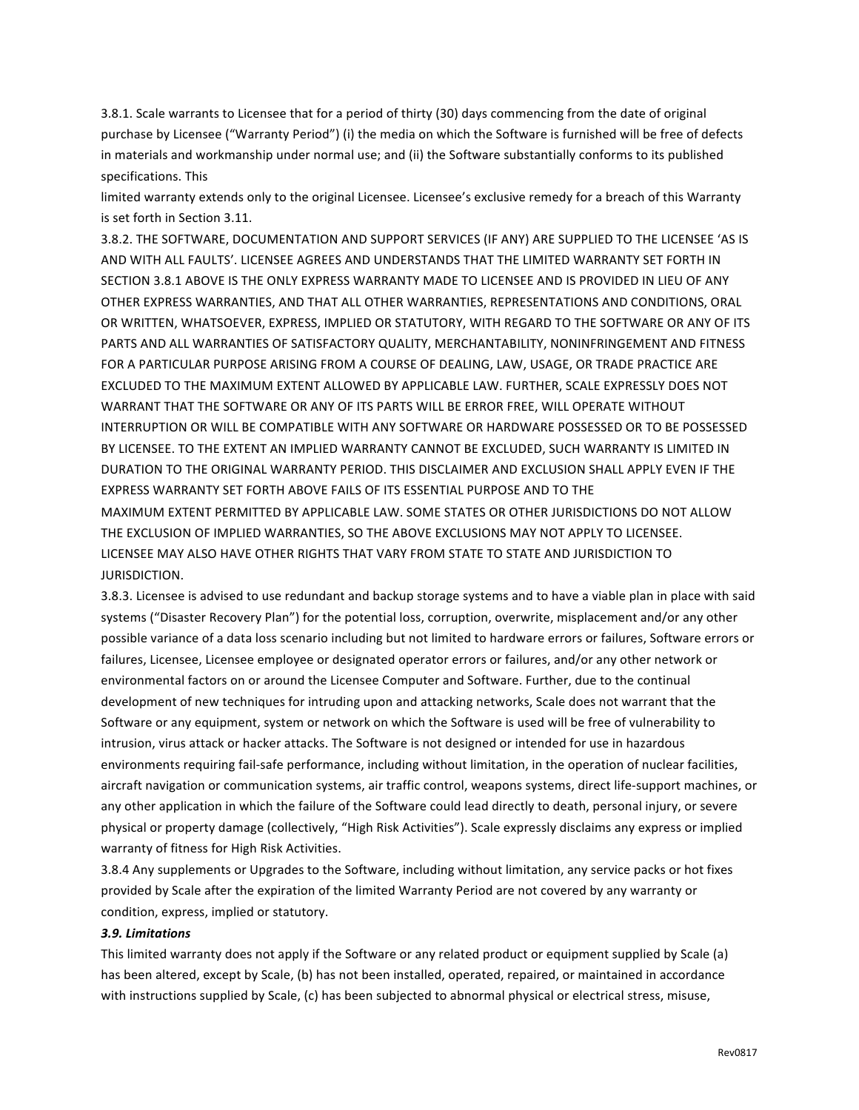3.8.1. Scale warrants to Licensee that for a period of thirty (30) days commencing from the date of original purchase by Licensee ("Warranty Period") (i) the media on which the Software is furnished will be free of defects in materials and workmanship under normal use; and (ii) the Software substantially conforms to its published specifications. This

limited warranty extends only to the original Licensee. Licensee's exclusive remedy for a breach of this Warranty is set forth in Section 3.11.

3.8.2. THE SOFTWARE, DOCUMENTATION AND SUPPORT SERVICES (IF ANY) ARE SUPPLIED TO THE LICENSEE 'AS IS AND WITH ALL FAULTS'. LICENSEE AGREES AND UNDERSTANDS THAT THE LIMITED WARRANTY SET FORTH IN SECTION 3.8.1 ABOVE IS THE ONLY EXPRESS WARRANTY MADE TO LICENSEE AND IS PROVIDED IN LIEU OF ANY OTHER EXPRESS WARRANTIES, AND THAT ALL OTHER WARRANTIES, REPRESENTATIONS AND CONDITIONS, ORAL OR WRITTEN, WHATSOEVER, EXPRESS, IMPLIED OR STATUTORY, WITH REGARD TO THE SOFTWARE OR ANY OF ITS PARTS AND ALL WARRANTIES OF SATISFACTORY QUALITY, MERCHANTABILITY, NONINFRINGEMENT AND FITNESS FOR A PARTICULAR PURPOSE ARISING FROM A COURSE OF DEALING, LAW, USAGE, OR TRADE PRACTICE ARE EXCLUDED TO THE MAXIMUM EXTENT ALLOWED BY APPLICABLE LAW. FURTHER, SCALE EXPRESSLY DOES NOT WARRANT THAT THE SOFTWARE OR ANY OF ITS PARTS WILL BE ERROR FREE, WILL OPERATE WITHOUT INTERRUPTION OR WILL BE COMPATIBLE WITH ANY SOFTWARE OR HARDWARE POSSESSED OR TO BE POSSESSED BY LICENSEE. TO THE EXTENT AN IMPLIED WARRANTY CANNOT BE EXCLUDED, SUCH WARRANTY IS LIMITED IN DURATION TO THE ORIGINAL WARRANTY PERIOD. THIS DISCLAIMER AND EXCLUSION SHALL APPLY EVEN IF THE EXPRESS WARRANTY SET FORTH ABOVE FAILS OF ITS ESSENTIAL PURPOSE AND TO THE MAXIMUM EXTENT PERMITTED BY APPLICABLE LAW. SOME STATES OR OTHER JURISDICTIONS DO NOT ALLOW THE EXCLUSION OF IMPLIED WARRANTIES, SO THE ABOVE EXCLUSIONS MAY NOT APPLY TO LICENSEE. LICENSEE MAY ALSO HAVE OTHER RIGHTS THAT VARY FROM STATE TO STATE AND JURISDICTION TO JURISDICTION.

3.8.3. Licensee is advised to use redundant and backup storage systems and to have a viable plan in place with said systems ("Disaster Recovery Plan") for the potential loss, corruption, overwrite, misplacement and/or any other possible variance of a data loss scenario including but not limited to hardware errors or failures, Software errors or failures, Licensee, Licensee employee or designated operator errors or failures, and/or any other network or environmental factors on or around the Licensee Computer and Software. Further, due to the continual development of new techniques for intruding upon and attacking networks, Scale does not warrant that the Software or any equipment, system or network on which the Software is used will be free of vulnerability to intrusion, virus attack or hacker attacks. The Software is not designed or intended for use in hazardous environments requiring fail-safe performance, including without limitation, in the operation of nuclear facilities, aircraft navigation or communication systems, air traffic control, weapons systems, direct life-support machines, or any other application in which the failure of the Software could lead directly to death, personal injury, or severe physical or property damage (collectively, "High Risk Activities"). Scale expressly disclaims any express or implied warranty of fitness for High Risk Activities.

3.8.4 Any supplements or Upgrades to the Software, including without limitation, any service packs or hot fixes provided by Scale after the expiration of the limited Warranty Period are not covered by any warranty or condition, express, implied or statutory.

## *3.9. Limitations*

This limited warranty does not apply if the Software or any related product or equipment supplied by Scale (a) has been altered, except by Scale, (b) has not been installed, operated, repaired, or maintained in accordance with instructions supplied by Scale, (c) has been subjected to abnormal physical or electrical stress, misuse,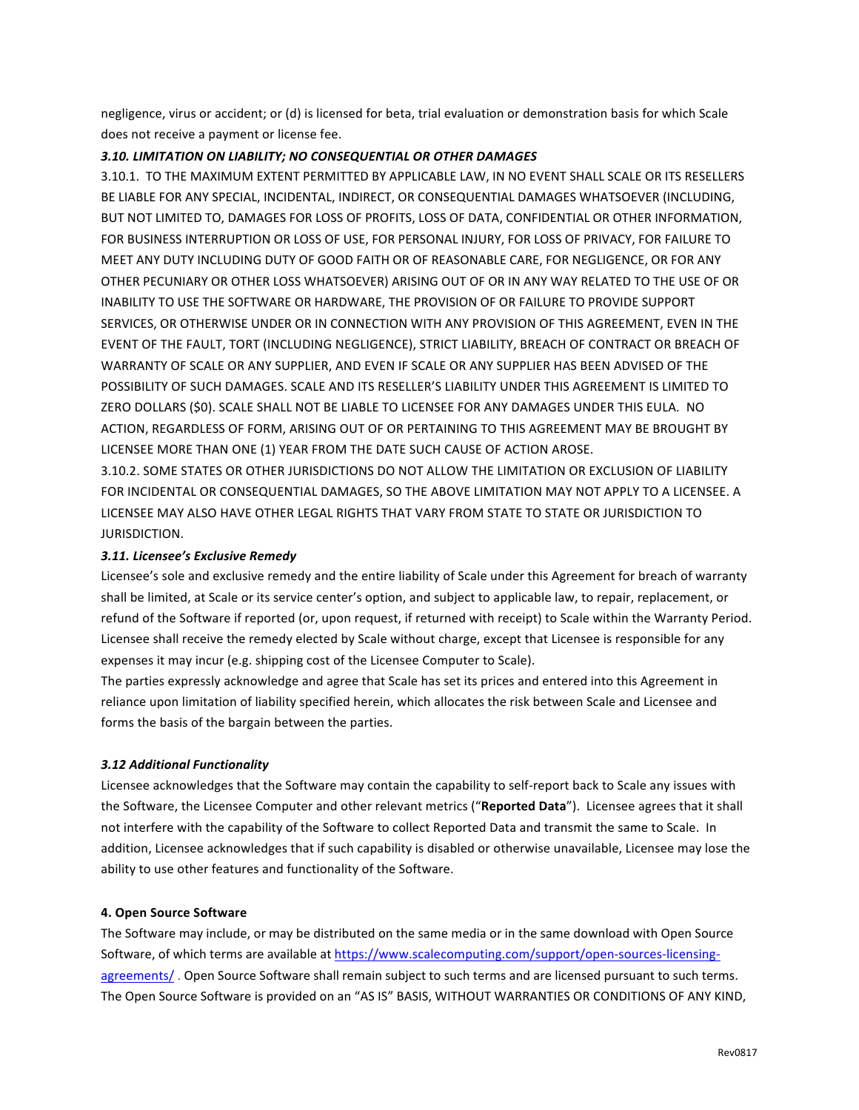negligence, virus or accident; or (d) is licensed for beta, trial evaluation or demonstration basis for which Scale does not receive a payment or license fee.

## 3.10. LIMITATION ON LIABILITY; NO CONSEQUENTIAL OR OTHER DAMAGES

3.10.1. TO THE MAXIMUM EXTENT PERMITTED BY APPLICABLE LAW, IN NO EVENT SHALL SCALE OR ITS RESELLERS BE LIABLE FOR ANY SPECIAL, INCIDENTAL, INDIRECT, OR CONSEQUENTIAL DAMAGES WHATSOEVER (INCLUDING, BUT NOT LIMITED TO, DAMAGES FOR LOSS OF PROFITS, LOSS OF DATA, CONFIDENTIAL OR OTHER INFORMATION, FOR BUSINESS INTERRUPTION OR LOSS OF USE, FOR PERSONAL INJURY, FOR LOSS OF PRIVACY, FOR FAILURE TO MEET ANY DUTY INCLUDING DUTY OF GOOD FAITH OR OF REASONABLE CARE, FOR NEGLIGENCE, OR FOR ANY OTHER PECUNIARY OR OTHER LOSS WHATSOEVER) ARISING OUT OF OR IN ANY WAY RELATED TO THE USE OF OR INABILITY TO USE THE SOFTWARE OR HARDWARE, THE PROVISION OF OR FAILURE TO PROVIDE SUPPORT SERVICES, OR OTHERWISE UNDER OR IN CONNECTION WITH ANY PROVISION OF THIS AGREEMENT, EVEN IN THE EVENT OF THE FAULT, TORT (INCLUDING NEGLIGENCE), STRICT LIABILITY, BREACH OF CONTRACT OR BREACH OF WARRANTY OF SCALE OR ANY SUPPLIER, AND EVEN IF SCALE OR ANY SUPPLIER HAS BEEN ADVISED OF THE POSSIBILITY OF SUCH DAMAGES. SCALE AND ITS RESELLER'S LIABILITY UNDER THIS AGREEMENT IS LIMITED TO ZERO DOLLARS (\$0). SCALE SHALL NOT BE LIABLE TO LICENSEE FOR ANY DAMAGES UNDER THIS EULA. NO ACTION, REGARDLESS OF FORM, ARISING OUT OF OR PERTAINING TO THIS AGREEMENT MAY BE BROUGHT BY LICENSEE MORE THAN ONE (1) YEAR FROM THE DATE SUCH CAUSE OF ACTION AROSE.

3.10.2. SOME STATES OR OTHER JURISDICTIONS DO NOT ALLOW THE LIMITATION OR EXCLUSION OF LIABILITY FOR INCIDENTAL OR CONSEQUENTIAL DAMAGES, SO THE ABOVE LIMITATION MAY NOT APPLY TO A LICENSEE. A LICENSEE MAY ALSO HAVE OTHER LEGAL RIGHTS THAT VARY FROM STATE TO STATE OR JURISDICTION TO JURISDICTION.

## *3.11. Licensee's Exclusive Remedy*

Licensee's sole and exclusive remedy and the entire liability of Scale under this Agreement for breach of warranty shall be limited, at Scale or its service center's option, and subject to applicable law, to repair, replacement, or refund of the Software if reported (or, upon request, if returned with receipt) to Scale within the Warranty Period. Licensee shall receive the remedy elected by Scale without charge, except that Licensee is responsible for any expenses it may incur (e.g. shipping cost of the Licensee Computer to Scale).

The parties expressly acknowledge and agree that Scale has set its prices and entered into this Agreement in reliance upon limitation of liability specified herein, which allocates the risk between Scale and Licensee and forms the basis of the bargain between the parties.

## *3.12 Additional Functionality*

Licensee acknowledges that the Software may contain the capability to self-report back to Scale any issues with the Software, the Licensee Computer and other relevant metrics ("Reported Data"). Licensee agrees that it shall not interfere with the capability of the Software to collect Reported Data and transmit the same to Scale. In addition, Licensee acknowledges that if such capability is disabled or otherwise unavailable, Licensee may lose the ability to use other features and functionality of the Software.

## **4. Open Source Software**

The Software may include, or may be distributed on the same media or in the same download with Open Source Software, of which terms are available at https://www.scalecomputing.com/support/open-sources-licensingagreements/. Open Source Software shall remain subject to such terms and are licensed pursuant to such terms. The Open Source Software is provided on an "AS IS" BASIS, WITHOUT WARRANTIES OR CONDITIONS OF ANY KIND,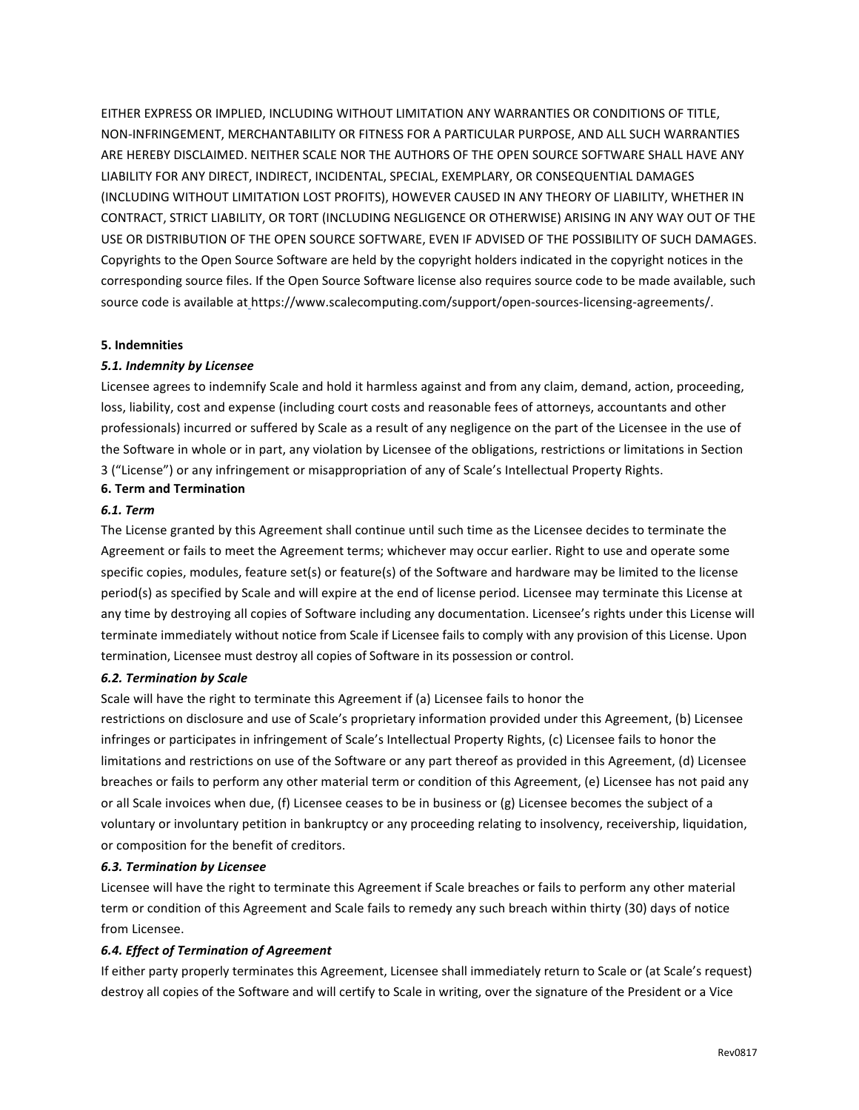EITHER EXPRESS OR IMPLIED, INCLUDING WITHOUT LIMITATION ANY WARRANTIES OR CONDITIONS OF TITLE, NON-INFRINGEMENT, MERCHANTABILITY OR FITNESS FOR A PARTICULAR PURPOSE, AND ALL SUCH WARRANTIES ARE HEREBY DISCLAIMED. NEITHER SCALE NOR THE AUTHORS OF THE OPEN SOURCE SOFTWARE SHALL HAVE ANY LIABILITY FOR ANY DIRECT, INDIRECT, INCIDENTAL, SPECIAL, EXEMPLARY, OR CONSEQUENTIAL DAMAGES (INCLUDING WITHOUT LIMITATION LOST PROFITS), HOWEVER CAUSED IN ANY THEORY OF LIABILITY, WHETHER IN CONTRACT, STRICT LIABILITY, OR TORT (INCLUDING NEGLIGENCE OR OTHERWISE) ARISING IN ANY WAY OUT OF THE USE OR DISTRIBUTION OF THE OPEN SOURCE SOFTWARE, EVEN IF ADVISED OF THE POSSIBILITY OF SUCH DAMAGES. Copyrights to the Open Source Software are held by the copyright holders indicated in the copyright notices in the corresponding source files. If the Open Source Software license also requires source code to be made available, such source code is available at https://www.scalecomputing.com/support/open-sources-licensing-agreements/.

## **5. Indemnities**

## *5.1. Indemnity by Licensee*

Licensee agrees to indemnify Scale and hold it harmless against and from any claim, demand, action, proceeding, loss, liability, cost and expense (including court costs and reasonable fees of attorneys, accountants and other professionals) incurred or suffered by Scale as a result of any negligence on the part of the Licensee in the use of the Software in whole or in part, any violation by Licensee of the obligations, restrictions or limitations in Section 3 ("License") or any infringement or misappropriation of any of Scale's Intellectual Property Rights. **6. Term and Termination**

#### *6.1. Term*

The License granted by this Agreement shall continue until such time as the Licensee decides to terminate the Agreement or fails to meet the Agreement terms; whichever may occur earlier. Right to use and operate some specific copies, modules, feature set(s) or feature(s) of the Software and hardware may be limited to the license period(s) as specified by Scale and will expire at the end of license period. Licensee may terminate this License at any time by destroying all copies of Software including any documentation. Licensee's rights under this License will terminate immediately without notice from Scale if Licensee fails to comply with any provision of this License. Upon termination, Licensee must destroy all copies of Software in its possession or control.

#### *6.2. Termination by Scale*

Scale will have the right to terminate this Agreement if (a) Licensee fails to honor the

restrictions on disclosure and use of Scale's proprietary information provided under this Agreement, (b) Licensee infringes or participates in infringement of Scale's Intellectual Property Rights, (c) Licensee fails to honor the limitations and restrictions on use of the Software or any part thereof as provided in this Agreement, (d) Licensee breaches or fails to perform any other material term or condition of this Agreement, (e) Licensee has not paid any or all Scale invoices when due, (f) Licensee ceases to be in business or (g) Licensee becomes the subject of a voluntary or involuntary petition in bankruptcy or any proceeding relating to insolvency, receivership, liquidation, or composition for the benefit of creditors.

#### *6.3. Termination by Licensee*

Licensee will have the right to terminate this Agreement if Scale breaches or fails to perform any other material term or condition of this Agreement and Scale fails to remedy any such breach within thirty (30) days of notice from Licensee.

#### *6.4. Effect of Termination of Agreement*

If either party properly terminates this Agreement, Licensee shall immediately return to Scale or (at Scale's request) destroy all copies of the Software and will certify to Scale in writing, over the signature of the President or a Vice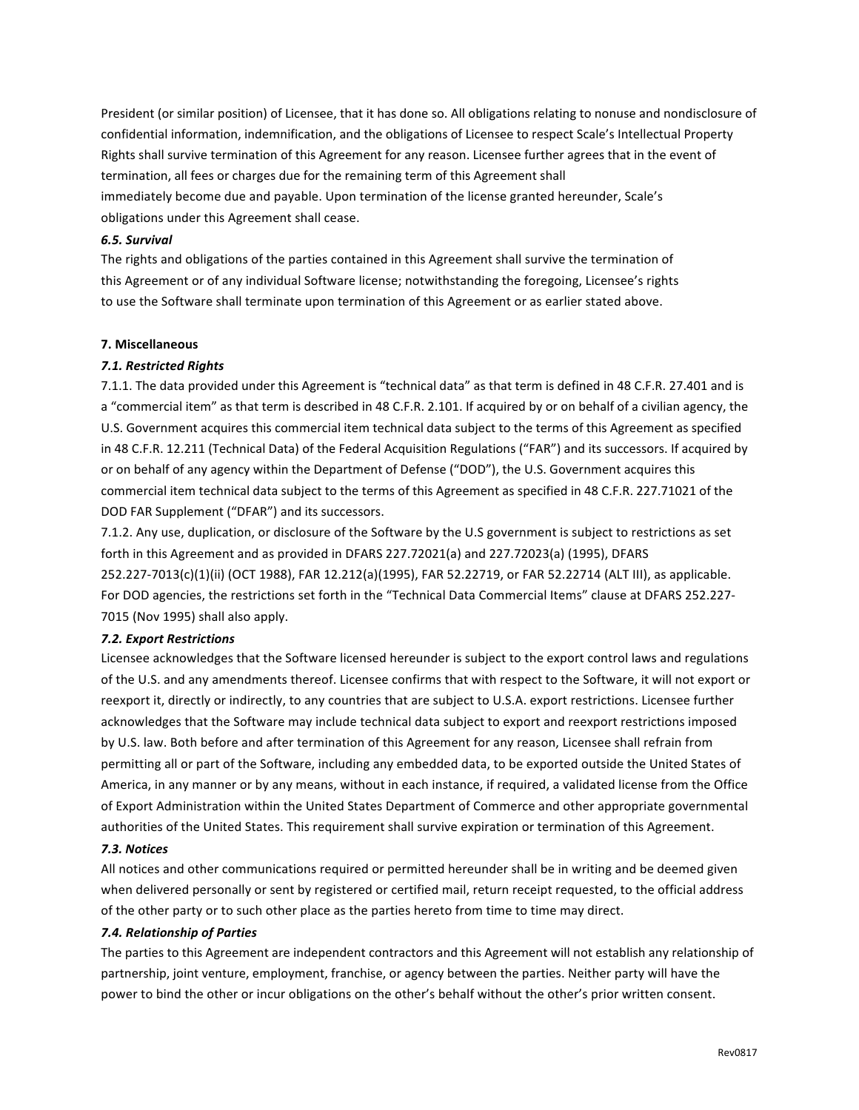President (or similar position) of Licensee, that it has done so. All obligations relating to nonuse and nondisclosure of confidential information, indemnification, and the obligations of Licensee to respect Scale's Intellectual Property Rights shall survive termination of this Agreement for any reason. Licensee further agrees that in the event of termination, all fees or charges due for the remaining term of this Agreement shall immediately become due and payable. Upon termination of the license granted hereunder, Scale's obligations under this Agreement shall cease.

## *6.5. Survival*

The rights and obligations of the parties contained in this Agreement shall survive the termination of this Agreement or of any individual Software license; notwithstanding the foregoing, Licensee's rights to use the Software shall terminate upon termination of this Agreement or as earlier stated above.

## **7. Miscellaneous**

## *7.1. Restricted Rights*

7.1.1. The data provided under this Agreement is "technical data" as that term is defined in 48 C.F.R. 27.401 and is a "commercial item" as that term is described in 48 C.F.R. 2.101. If acquired by or on behalf of a civilian agency, the U.S. Government acquires this commercial item technical data subject to the terms of this Agreement as specified in 48 C.F.R. 12.211 (Technical Data) of the Federal Acquisition Regulations ("FAR") and its successors. If acquired by or on behalf of any agency within the Department of Defense ("DOD"), the U.S. Government acquires this commercial item technical data subject to the terms of this Agreement as specified in 48 C.F.R. 227.71021 of the DOD FAR Supplement ("DFAR") and its successors.

7.1.2. Any use, duplication, or disclosure of the Software by the U.S government is subject to restrictions as set forth in this Agreement and as provided in DFARS 227.72021(a) and 227.72023(a) (1995), DFARS 252.227-7013(c)(1)(ii) (OCT 1988), FAR 12.212(a)(1995), FAR 52.22719, or FAR 52.22714 (ALT III), as applicable. For DOD agencies, the restrictions set forth in the "Technical Data Commercial Items" clause at DFARS 252.227-7015 (Nov 1995) shall also apply.

## *7.2. Export Restrictions*

Licensee acknowledges that the Software licensed hereunder is subject to the export control laws and regulations of the U.S. and any amendments thereof. Licensee confirms that with respect to the Software, it will not export or reexport it, directly or indirectly, to any countries that are subject to U.S.A. export restrictions. Licensee further acknowledges that the Software may include technical data subject to export and reexport restrictions imposed by U.S. law. Both before and after termination of this Agreement for any reason, Licensee shall refrain from permitting all or part of the Software, including any embedded data, to be exported outside the United States of America, in any manner or by any means, without in each instance, if required, a validated license from the Office of Export Administration within the United States Department of Commerce and other appropriate governmental authorities of the United States. This requirement shall survive expiration or termination of this Agreement.

## *7.3. Notices*

All notices and other communications required or permitted hereunder shall be in writing and be deemed given when delivered personally or sent by registered or certified mail, return receipt requested, to the official address of the other party or to such other place as the parties hereto from time to time may direct.

## *7.4. Relationship of Parties*

The parties to this Agreement are independent contractors and this Agreement will not establish any relationship of partnership, joint venture, employment, franchise, or agency between the parties. Neither party will have the power to bind the other or incur obligations on the other's behalf without the other's prior written consent.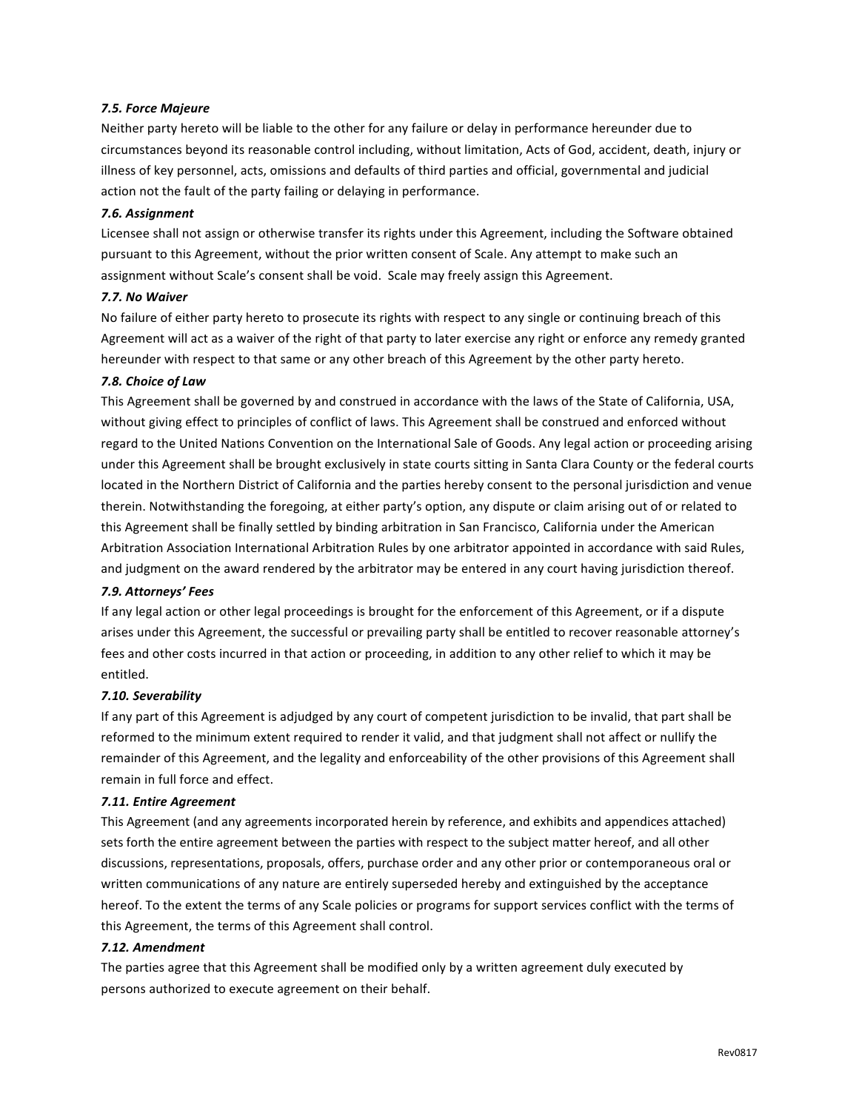## *7.5. Force Majeure*

Neither party hereto will be liable to the other for any failure or delay in performance hereunder due to circumstances beyond its reasonable control including, without limitation, Acts of God, accident, death, injury or illness of key personnel, acts, omissions and defaults of third parties and official, governmental and judicial action not the fault of the party failing or delaying in performance.

## *7.6. Assignment*

Licensee shall not assign or otherwise transfer its rights under this Agreement, including the Software obtained pursuant to this Agreement, without the prior written consent of Scale. Any attempt to make such an assignment without Scale's consent shall be void. Scale may freely assign this Agreement.

## *7.7. No Waiver*

No failure of either party hereto to prosecute its rights with respect to any single or continuing breach of this Agreement will act as a waiver of the right of that party to later exercise any right or enforce any remedy granted hereunder with respect to that same or any other breach of this Agreement by the other party hereto.

## *7.8. Choice of Law*

This Agreement shall be governed by and construed in accordance with the laws of the State of California, USA, without giving effect to principles of conflict of laws. This Agreement shall be construed and enforced without regard to the United Nations Convention on the International Sale of Goods. Any legal action or proceeding arising under this Agreement shall be brought exclusively in state courts sitting in Santa Clara County or the federal courts located in the Northern District of California and the parties hereby consent to the personal jurisdiction and venue therein. Notwithstanding the foregoing, at either party's option, any dispute or claim arising out of or related to this Agreement shall be finally settled by binding arbitration in San Francisco, California under the American Arbitration Association International Arbitration Rules by one arbitrator appointed in accordance with said Rules, and judgment on the award rendered by the arbitrator may be entered in any court having jurisdiction thereof.

## *7.9. Attorneys' Fees*

If any legal action or other legal proceedings is brought for the enforcement of this Agreement, or if a dispute arises under this Agreement, the successful or prevailing party shall be entitled to recover reasonable attorney's fees and other costs incurred in that action or proceeding, in addition to any other relief to which it may be entitled.

## *7.10. Severability*

If any part of this Agreement is adjudged by any court of competent jurisdiction to be invalid, that part shall be reformed to the minimum extent required to render it valid, and that judgment shall not affect or nullify the remainder of this Agreement, and the legality and enforceability of the other provisions of this Agreement shall remain in full force and effect.

## *7.11. Entire Agreement*

This Agreement (and any agreements incorporated herein by reference, and exhibits and appendices attached) sets forth the entire agreement between the parties with respect to the subject matter hereof, and all other discussions, representations, proposals, offers, purchase order and any other prior or contemporaneous oral or written communications of any nature are entirely superseded hereby and extinguished by the acceptance hereof. To the extent the terms of any Scale policies or programs for support services conflict with the terms of this Agreement, the terms of this Agreement shall control.

## *7.12. Amendment*

The parties agree that this Agreement shall be modified only by a written agreement duly executed by persons authorized to execute agreement on their behalf.